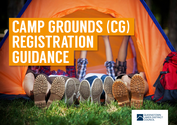# CAMP GROUNDS (CG) REGISTRATION GUIDANCE

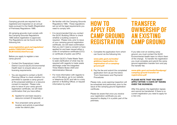Camping grounds are required to be registered and inspected on an annual basis pursuant to the Health (Registration of Premises) Regulations 1966.

All camping grounds must comply with the Camping Grounds Regulations 1985 before registration is approved. The Regulations can be found via the following link:

#### [www.legislation.govt.nz/regulation/](http://www.legislation.govt.nz/regulation/public/1985/0261/latest/DLM103332.html?src=qs) [public/1985/0261/latest/](http://www.legislation.govt.nz/regulation/public/1985/0261/latest/DLM103332.html?src=qs) [DLM103332.html?src=qs](http://www.legislation.govt.nz/regulation/public/1985/0261/latest/DLM103332.html?src=qs)

Before you apply to register a new camp ground:

- Contact the Queenstown Lakes District Council (QLDC) Environmental Health team to enquire about your licensing requirements.
- You are required to contact a QLDC Planning Officer to check whether it is permitted to operate a camp ground at the proposed address or a resource consent is required. Please note, prior to issue of your camp ground registration certificate, we will need confirmation that you have either;
	- A) Applied for and been issued a resource consent (if required), or
	- **B)** Your proposed camp ground location and activity is permitted under the district plan.
- Be familiar with the Camping-Grounds Regulations 1985. These regulations set out all the legal requirements you need to comply with.
- It is recommended that you contact the QLDC Building Officer to check whether a building consent is required. Please note, prior to issue of your camping ground registration certificate, we will need confirmation that you don't need a consent or have applied for and been issued either a code of compliance certificate (CCC) or certificate of public use (CPU).
- Contact QLDC's Trade Waste Team to seek clarification of what may be required with regards to trade waste discharge under the Integrated Three Waters Bylaw 2020 and Administration Manual.
- For more information with regards to any of the above, go to our website or telephone QLDC and talk to a duty planner or Building Officer, or request information by email

## HOW TO APPLY FOR CAMP GROUND **REGISTRATION**

1. Complete the application form which can found via the following link;

[www.qldc.govt.nz/media/](http://www.qldc.govt.nz/media/glddimer/application-for-registration-of-a-camping-ground.pdf) [glddimer/application-for](http://www.qldc.govt.nz/media/glddimer/application-for-registration-of-a-camping-ground.pdf)[registration-of-a-camping](http://www.qldc.govt.nz/media/glddimer/application-for-registration-of-a-camping-ground.pdf)[ground.pdf](http://www.qldc.govt.nz/media/glddimer/application-for-registration-of-a-camping-ground.pdf)

2. Pay the fee and submit the completed application form as per the below 'Form Submission and Payments' Procedures

Please note, a pre-opening inspection will be scheduled and performed, prior to the issue of the camping ground registration certificate.

Please be aware that once you receive your registration certificate you are required to display it in a public part of the premises.

### TRANSFER OWNERSHIP OF AN EXISTING CAMP GROUND

If you take over an existing camp ground, you must contact the QLDC Environmental Health team to inform them of the change. To transfer the registration you must complete and submit the camp ground registration transfer form and pay the transfer fee.

#### [www.qldc.govt.nz/media/5aodpoqy/](http://www.qldc.govt.nz/media/5aodpoqy/camping-ground-transfer-of-registration.pdf) [camping-ground-transfer-of](http://www.qldc.govt.nz/media/5aodpoqy/camping-ground-transfer-of-registration.pdf)[registration.pdf](http://www.qldc.govt.nz/media/5aodpoqy/camping-ground-transfer-of-registration.pdf)

#### PLEASE NOTE THAT YOU MUST APPLY WITHIN 14 DAYS OF TAKING OVER THE BUSINESS.

After this period, the registration lapses and cannot be transferred. If there is no current registration you need to apply for a new one.